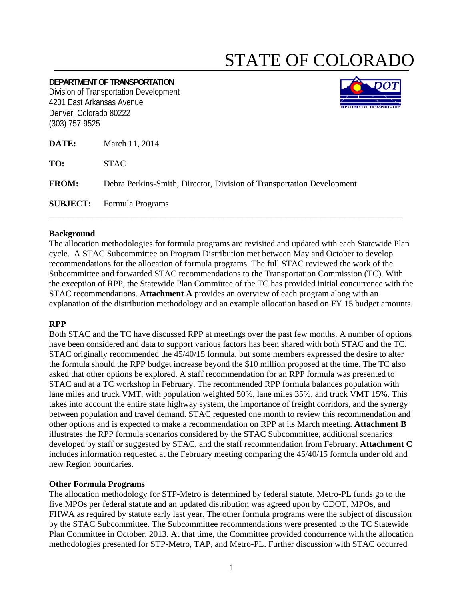# STATE OF COLORADO

## **DEPARTMENT OF TRANSPORTATION** Division of Transportation Development 4201 East Arkansas Avenue Denver, Colorado 80222 (303) 757-9525



| DATE:        | March 11, 2014                                                        |
|--------------|-----------------------------------------------------------------------|
| TO:          | <b>STAC</b>                                                           |
| <b>FROM:</b> | Debra Perkins-Smith, Director, Division of Transportation Development |
|              | <b>SUBJECT:</b> Formula Programs                                      |

## **Background**

The allocation methodologies for formula programs are revisited and updated with each Statewide Plan cycle. A STAC Subcommittee on Program Distribution met between May and October to develop recommendations for the allocation of formula programs. The full STAC reviewed the work of the Subcommittee and forwarded STAC recommendations to the Transportation Commission (TC). With the exception of RPP, the Statewide Plan Committee of the TC has provided initial concurrence with the STAC recommendations. **Attachment A** provides an overview of each program along with an explanation of the distribution methodology and an example allocation based on FY 15 budget amounts.

## **RPP**

Both STAC and the TC have discussed RPP at meetings over the past few months. A number of options have been considered and data to support various factors has been shared with both STAC and the TC. STAC originally recommended the 45/40/15 formula, but some members expressed the desire to alter the formula should the RPP budget increase beyond the \$10 million proposed at the time. The TC also asked that other options be explored. A staff recommendation for an RPP formula was presented to STAC and at a TC workshop in February. The recommended RPP formula balances population with lane miles and truck VMT, with population weighted 50%, lane miles 35%, and truck VMT 15%. This takes into account the entire state highway system, the importance of freight corridors, and the synergy between population and travel demand. STAC requested one month to review this recommendation and other options and is expected to make a recommendation on RPP at its March meeting. **Attachment B** illustrates the RPP formula scenarios considered by the STAC Subcommittee, additional scenarios developed by staff or suggested by STAC, and the staff recommendation from February. **Attachment C** includes information requested at the February meeting comparing the 45/40/15 formula under old and new Region boundaries.

## **Other Formula Programs**

The allocation methodology for STP-Metro is determined by federal statute. Metro-PL funds go to the five MPOs per federal statute and an updated distribution was agreed upon by CDOT, MPOs, and FHWA as required by statute early last year. The other formula programs were the subject of discussion by the STAC Subcommittee. The Subcommittee recommendations were presented to the TC Statewide Plan Committee in October, 2013. At that time, the Committee provided concurrence with the allocation methodologies presented for STP-Metro, TAP, and Metro-PL. Further discussion with STAC occurred